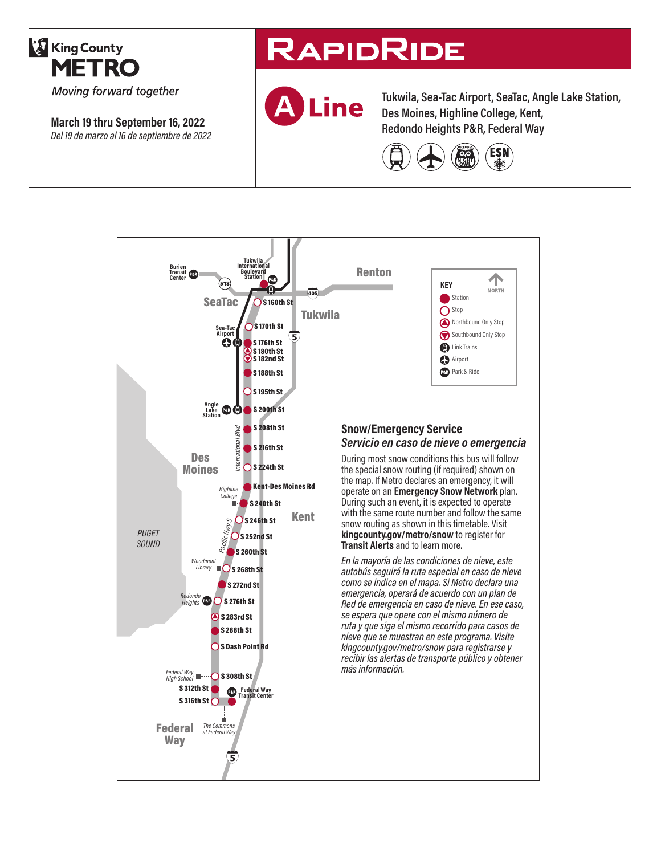

**March 19 thru September 16, 2022** *Del 19 de marzo al 16 de septiembre de 2022*

# **RAPIDRIDE**



**Tukwila, Sea-Tac Airport, SeaTac, Angle Lake Station, Des Moines, Highline College, Kent, Redondo Heights P&R, Federal Way**



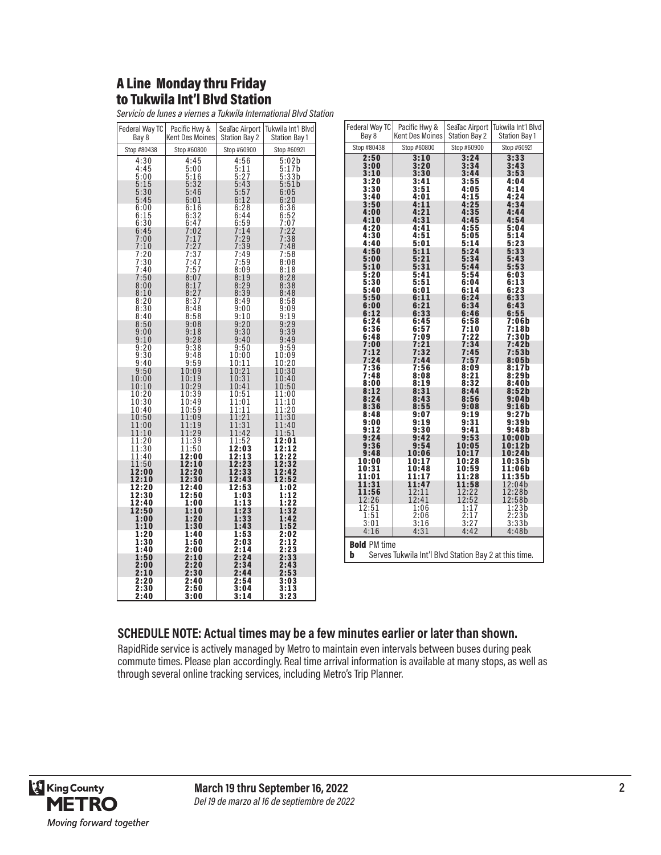#### A Line Monday thru Friday to Tukwila Int'l Blvd Station

| Federal Way TC<br>Bay 8 | Pacific Hwy &<br>Kent Des Moines             | SeaTac Airport<br><b>Station Bay 2</b> | Tukwila Int'l Blvd<br><b>Station Bay 1</b> |
|-------------------------|----------------------------------------------|----------------------------------------|--------------------------------------------|
| Stop #80438             | Stop #60800                                  | Stop #60900                            | Stop #60921                                |
| 4:30                    | 4:45                                         | 4:56                                   | 5:02b                                      |
| 4:45                    | 5:00                                         |                                        | 5:17b                                      |
| 5:00<br>5:15            | $\frac{5:16}{5:32}$                          | $\frac{5:11}{5:27}$<br>5:43            | 5:33b<br>5:51b                             |
| 5:30                    | 5:46                                         | $\frac{5:57}{6:12}$                    | 6:05                                       |
| 5:45                    | 6:01                                         | 6:28                                   | 6:20<br>6:36                               |
| 6:00<br>6:15            | 6:16                                         |                                        |                                            |
| 6:30                    | $6:32$<br>$6:47$                             | 6:44<br>6:59                           | 6:52<br>7:07                               |
| 6:45<br>7:00            | $7:02$<br>$7:17$                             | 7:14<br>7:29                           | 7:22<br>7:38                               |
| 7:10                    | 7:27                                         | 7:39                                   | 7:48                                       |
| $7:20$<br>$7:30$        | 7:37<br>7:47<br>7:47                         | $7:49$<br>$7:59$                       | $7:58$<br>$8:08$                           |
| 7:40                    |                                              | 8:09                                   | 8:18                                       |
| 7:50                    | $\frac{7:57}{8:07}$                          | 8:19                                   | 8:28                                       |
| 8:00<br>8:10            | 8:17                                         | 8:29<br>8:39                           | 8:38<br>8:48                               |
| 8:20                    | $\frac{8:27}{8:37}$                          | 8:49                                   | 8:58                                       |
| $\frac{8:30}{8:40}$     | $\frac{8:48}{8:58}$                          | $9:00$<br>$9:10$                       | $\overset{0.09}{9:}19$                     |
| 8:50                    | 9:08                                         |                                        | 9:29                                       |
| 9:00                    | 9:18                                         | $9:20$<br>$9:30$                       | 9:39                                       |
| 9:10                    | 9:28                                         | 9:40<br>9:50                           | 9:49<br>9:59                               |
| $\frac{9:20}{9:30}$     | $\frac{9:38}{9:48}$                          | 10:00                                  | 10:09                                      |
| 9:40                    | $\begin{array}{c} 9:59 \\ 10:09 \end{array}$ | 10:11<br>10:21                         | 10:20<br>10:30                             |
| 9:50<br>10:00           | 10:19                                        | 10:31                                  | 10:40                                      |
| 10:10                   | 10:29                                        | 10:41                                  | 10:50                                      |
| 10:20<br>10:30          | 10:39<br>10:49                               | 10:51<br>11:01                         | 11:00<br>11:10                             |
| 10:40                   | 10:59                                        | īī:11                                  | 11:20                                      |
| 10:50<br>11:00          | 11:09                                        | $\frac{1}{11:21}$<br>$\frac{1}{11:31}$ | 11:30<br>11:40                             |
| 11:10                   | 11:19<br>11:29                               | 11:42                                  | 11:51                                      |
| 11:20                   | 11:39                                        | 11:52                                  | 12:01                                      |
| 11:30<br>11:40          | 11:50<br>12:00                               | 12:03                                  | 12:12<br>12:22                             |
| 11:50                   | 12:10                                        | 12:13<br>12:23                         | 12:32                                      |
| 12:00<br>12:10          | 12:20<br>12:30                               | 12:33<br>12:43                         | 12:42<br>12:52                             |
| 12:20                   | 12:40                                        | 12:53                                  | 1:02                                       |
| 12:30<br>12:40          | 12:50                                        | 1:03                                   | 1:12                                       |
| 12:50                   | 1:00<br>1:10                                 | 1:13<br>1:23                           | $\overline{1:}2\overline{2}$<br>1:32       |
| 1:00                    | 1:20                                         | 1:33                                   | 1:42                                       |
| 1:10<br>1:20            | 1:30<br>1:40                                 | 1:43<br>1:53                           | 1:52<br>2:02                               |
| 1:30                    | 1:50                                         | 2:03                                   | 2:12                                       |
| 1:40                    | 2:00                                         | 2:14<br>2:24                           | 2:23<br>2:33                               |
| 1:50<br>2:00            | 2:10<br>2:20                                 | 2:34                                   | 2:43                                       |
| 2:10                    | 2:30                                         | 2:44                                   | 2:53                                       |
| 2:20<br>2:30            | 2:40<br>2:50                                 | 2:54<br>3:04                           | 3:03<br>3:13                               |
| 2:40                    | 3:00                                         | 3:14                                   | 3:23                                       |

| Federal Way TC                               | Pacific Hwy &                                         | SeaTac Airport                              | Tukwila Int'l Blvd   |
|----------------------------------------------|-------------------------------------------------------|---------------------------------------------|----------------------|
| Bay 8                                        | <b>Kent Des Moines</b>                                | <b>Station Bay 2</b>                        | <b>Station Bay 1</b> |
| Stop #80438                                  | Stop #60800                                           | Stop #60900                                 | Stop #60921          |
| 2:50                                         | 3:10                                                  | 3:24                                        | 3:33                 |
| 3:00                                         | 3:20                                                  | 3:34                                        | 3:43                 |
| 3:10                                         | 3:30                                                  | 3:44                                        | 3:53                 |
| 3:20                                         | 3:41                                                  | 3:55                                        | 4:04                 |
| 3:30                                         | 3:51                                                  | 4:05                                        | 4:14                 |
| 3:40                                         | 4:01                                                  | 4:15                                        | 4:24                 |
| 3:50                                         | 4:11                                                  | 4:25                                        | 4:34                 |
| 4:00<br>4:10                                 | 4:21<br>4:31                                          | 4:35<br>4:45                                | 4:44<br>4:54         |
| 4:20                                         | 4:41                                                  | 4:55                                        | 5:04                 |
| 4:30                                         | 4:51                                                  | 5:05                                        | 5:14                 |
| 4:40                                         | 5:01                                                  | 5:14                                        | 5:23                 |
| 4:50                                         | 5:11                                                  | 5:24                                        | 5:33                 |
| 5:00                                         | 5:21                                                  | 5:34                                        | 5:43                 |
| 5:10                                         | 5:31                                                  | 5:44                                        | 5:53                 |
| 5:20                                         | 5:41                                                  | 5:54                                        | 6:03                 |
| 5:30<br>5:40                                 | 5:51<br>6:01                                          | 6:04<br>6:14                                | 6:13<br>6:23         |
| 5:50                                         | 6:11                                                  | 6:24                                        | 6:33                 |
| 6:00                                         | 6:21                                                  | 6:34                                        | 6:43                 |
| 6:12                                         | 6:33                                                  | 6:46                                        | 6:55                 |
| 6:24                                         | 6:45                                                  | 6:58                                        | 7:06b                |
| 6:36                                         | 6:57                                                  | 7:10                                        | 7:18b                |
| 6:48                                         | 7:09                                                  | 7:22                                        | 7:30b                |
| 7:00                                         | 7:21                                                  | 7:34                                        | 7:42b                |
| 7:12<br>7:24                                 | 7:32<br>7:44                                          | 7:45<br>7:57                                | 7:53b<br>8:05b       |
| 7:36                                         | 7:56                                                  | 8:09                                        | 8:17b                |
| 7:48                                         | 8:08                                                  | 8:21                                        | 8:29b                |
| 8:00                                         | 8:19                                                  | 8:32                                        | 8:40 b               |
| 8:12                                         | 8:31                                                  | 8:44                                        | 8:52b                |
| 8:24                                         | 8:43                                                  | 8:56                                        | 9:04b                |
| 8:36                                         | 8:55                                                  | 9:08                                        | 9:16b                |
| 8:48                                         | 9:07                                                  | 9:19<br>9:31                                | 9:27b<br>9:39b       |
| 9:00<br>9:12                                 | 9:19<br>9:30                                          | 9:41                                        | 9:48 b               |
| 9:24                                         | 9:42                                                  | 9:53                                        | 10:00b               |
| 9:36                                         | 9:54                                                  | 10:05                                       | 10:12b               |
| 9:48                                         | 10:06                                                 | 10:17                                       | 10:24b               |
| 10:00                                        | 10:17                                                 | 10:28                                       | 10:35b               |
| 10:31                                        | 10:48                                                 | 10:59                                       | 11:06b               |
| 11:01                                        | 11:17                                                 | 11:28                                       | 11:35b<br>12:04b     |
| 11:31<br>11:56                               | 11:47<br>12:11                                        | 11:58<br>12:22                              | 12:28b               |
| 12:26                                        | 12:41                                                 | 12:52                                       | 12:58b               |
|                                              | 1:06                                                  |                                             |                      |
| $\begin{array}{c} 12:51 \\ 1:51 \end{array}$ | 2:06                                                  | $\begin{array}{c} 1:17 \\ 2:17 \end{array}$ | $1:23b$<br>$2:23b$   |
| 3:01                                         | 3:16                                                  | 3:27                                        | 3:335                |
| 4:16                                         | 4:31                                                  | 4:42                                        | 4:48b                |
| <b>Bold PM time</b>                          |                                                       |                                             |                      |
| b                                            | Serves Tukwila Int'l Blvd Station Bay 2 at this time. |                                             |                      |
|                                              |                                                       |                                             |                      |
|                                              |                                                       |                                             |                      |

#### **SCHEDULE NOTE: Actual times may be a few minutes earlier or later than shown.**

RapidRide service is actively managed by Metro to maintain even intervals between buses during peak commute times. Please plan accordingly. Real time arrival information is available at many stops, as well as through several online tracking services, including Metro's Trip Planner.

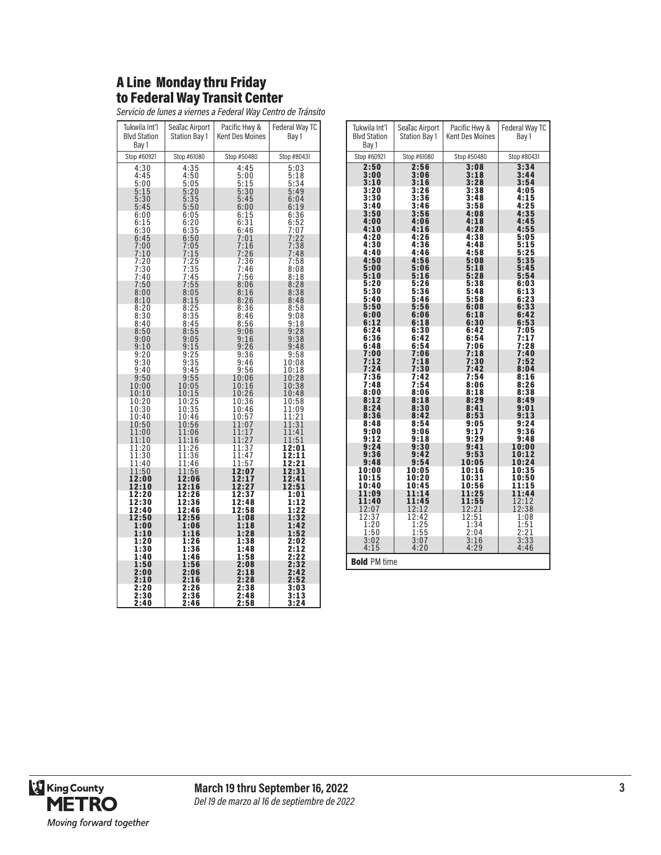#### A Line Monday thru Friday to Federal Way Transit Center

*Servicio de lunes a viernes a Federal Way Centro de Tránsito*

| Tukwila Int'l<br><b>Blvd Station</b><br>Bay 1 | SeaTac Airport<br><b>Station Bay 1</b> | Pacific Hwy &<br><b>Kent Des Moines</b> | Federal Way TC<br>Bay 1      |
|-----------------------------------------------|----------------------------------------|-----------------------------------------|------------------------------|
| Stop #60921                                   | Stop #61080                            | Stop #50480                             | Stop #80431                  |
| 4:30<br>4:45<br>5:00<br>5:15                  | 4:35<br>$4:50$<br>$5:05$<br>5:20       | 4:45<br>5:00<br>5:15<br>5:30            | 5:03<br>5:18<br>5:34<br>5:49 |
| $\frac{5:30}{5:45}$                           | $\frac{5:35}{5:50}$                    | 5:45<br>6:00                            | 6:04<br>6:19                 |
| 6:00<br>6:15<br>6:30                          | 6:05<br>$6:20$<br>$6:35$               | 6:15<br>$6:31$<br>$6:46$                | $6:36$<br>$6:52$<br>$7:07$   |
| 6:45<br>7:00<br>7:10                          | $6:50$<br>$7:05$<br>7:15               | 7:01<br>7:16<br>7:26                    | 7:22<br>7:38<br>7:48         |
| $7:20$<br>$7:30$<br>7:40                      | $7:25$<br>$7:35$<br>7:45               | $7:36$<br>$7:46$<br>7:56                | $7:58$<br>$8:08$<br>8:18     |
| 7:50<br>8:00<br>8:10                          | 7:55<br>8:05<br>8:15                   | 8:06<br>8:16<br>8:26                    | $\frac{8:28}{8:38}$<br>8:48  |
| 8:20<br>8:30<br>8:40                          | 8:25<br>8:35<br>8:45                   | 8:36<br>8:46<br>$\frac{8:56}{9:06}$     | 8:58<br>9:08<br>9:18         |
| 8:50<br>9:00<br>9:10                          | 8:55<br>9:05<br>9:15                   | 9:16<br>9:26                            | 9:28<br>9:38<br>9:48         |
| 9:20<br>9:30<br>9:40                          | $9:25$<br>$9:35$<br>9:45               | 9:36<br>9:46<br>9:56                    | 9:58<br>10:08<br>10:18       |
| 9:50<br>10:00<br>10:10                        | 9:55<br>10:05<br>10:15                 | 10:06<br>10:16<br>10:26                 | 10:28<br>10:38<br>10:48      |
| 10:20<br>$\frac{10:30}{10:40}$                | 10:25<br>$\frac{10:35}{10:46}$         | 10:36<br>10:46<br>10:57                 | 10:58<br>11:09<br>11:21      |
| 10:50<br>11:00<br>11:10                       | 10:56<br>11:06<br>11:16                | 11:07<br>11:17<br>11:27                 | 11:31<br>11:41<br>11:51      |
| 11:20<br>11:30<br>11:40                       | 11:26<br>11:36<br>11:46                | 11:37<br>11:47<br>11:57                 | 12:01<br>12:11<br>12:21      |
| 11:50<br>12:00<br>12:10                       | 11:56<br>12:06<br>12:16                | 12:07<br>12:17<br>12:27                 | 12:31<br>12:41<br>12:51      |
| 12:20<br>12:30<br>12:40                       | 12:26<br>12:36<br>12:46                | 12:37<br>12:48<br>12:58                 | 1:01<br>1:12<br>1:22         |
| 12:50<br>1:00<br>1:10                         | 12:56<br>1:06<br>1:16                  | 1:08<br>1:18<br>1:28                    | 1:32<br>1:42<br>1:52         |
| 1:20<br>1:30<br>1:40                          | 1:26<br>1:36<br>1:46                   | 1:38<br>1:48<br>1:58                    | 2:02<br>2:12<br>2:22         |
| 1:50<br>2:00<br>2:10                          | 1:56<br>2:06<br>2:16                   | 2:08<br>2:18<br>2:28                    | 2:32<br>2:42<br>2:52         |
| 2:20<br>2:30<br>2:40                          | 2:26<br>2:36<br>2:46                   | 2:38<br>2:48<br>2:58                    | 3:03<br>3:13<br>3:24         |

| Tukwila Int'l<br><b>Blvd Station</b> | SeaTac Airport<br>Station Bay 1 | Pacific Hwy &<br><b>Kent Des Moines</b> | Federal Way TC<br>Bay 1 |
|--------------------------------------|---------------------------------|-----------------------------------------|-------------------------|
| Bay 1                                |                                 |                                         |                         |
| Stop #60921                          | Stop #61080                     | Stop #50480                             | Stop #80431             |
| 2:50<br>3:00                         | 2:56<br>3:06                    | 3:08<br>3:18                            | 3:34<br>3:44            |
| 3:10                                 | 3:16                            | 3:28                                    | 3:54                    |
| 3:20                                 | 3:26                            | 3:38                                    | 4:05                    |
| 3:30<br>3:40                         | 3:36<br>3:46                    | 3:48<br>3:58                            | 4:15<br>4:25            |
| 3:50                                 | 3:56                            | 4:08                                    | 4:35                    |
| 4:00<br>4:10                         | 4:06<br>4:16                    | 4:18<br>4:28                            | 4:45<br>4:55            |
| 4:20                                 | 4:26                            | 4:38                                    | 5:05                    |
| 4:30<br>4:40                         | 4:36<br>4:46                    | 4:48<br>4:58                            | 5:15<br>5:25            |
| 4:50                                 | 4:56                            | 5:08                                    | 5:35                    |
| 5:00<br>5:10                         | 5:06<br>5:16                    | 5:18<br>5:28                            | 5:45<br>5:54            |
| 5:20                                 | 5:26                            | 5:38                                    | 6:03                    |
| 5:30<br>5:40                         | 5:36<br>5:46                    | 5:48<br>5:58                            | 6:13<br>6:23            |
| 5:50                                 | 5:56                            | 6:08                                    | 6:33                    |
| 6:00<br>6:12                         | 6:06<br>6:18                    | 6:18<br>6:30                            | 6:42<br>6:53            |
| 6:24                                 | 6:30                            | 6:42                                    | 7:05                    |
| 6:36<br>6:48                         | 6:42<br>6:54                    | 6:54<br>7:06                            | 7:17<br>7:28            |
| 7:00                                 | 7:06                            | 7:18<br>7:30                            | 7:40<br>7:52            |
| 7:12<br>7:24                         | 7:18<br>7:30                    | 7:42                                    | 8:04                    |
| 7:36<br>7:48                         | 7:42<br>7:54                    | 7:54<br>8:06                            | 8:16<br>8:26            |
| 8:00                                 | 8:06                            | 8:18                                    | 8:38                    |
| 8:12<br>8:24                         | 8:18<br>8:30                    | 8:29<br>8:41                            | 8:49<br>9:01            |
| 8:36                                 | 8:42                            | 8:53                                    | 9:13                    |
| 8:48<br>9:00                         | 8:54<br>9:06                    | 9:05<br>9:17                            | 9:24<br>9:36            |
| 9:12                                 | 9:18                            | 9:29                                    | 9:48                    |
| 9:24<br>9:36                         | 9:30<br>9:42                    | 9:41<br>9:53                            | 10:00<br>10:12          |
| 9:48                                 | 9:54                            | 10:05                                   | 10:24                   |
| 10:00<br>10:15                       | 10:05<br>10:20                  | 10:16<br>10:31                          | 10:35<br>10:50          |
| 10:40                                | 10:45                           | 10:56                                   | 11:15                   |
| 11:09<br>11:40                       | 11:14<br>11:45                  | 11:25                                   | 11:44                   |
| 12:07                                | 12:12                           | $11:55$<br>$12:21$                      | $\frac{12:12}{12:38}$   |
| $\frac{12:37}{1:20}$                 | 12:42<br>1:25                   | 12:51<br>1:34                           | 1:08<br>1:51            |
| 1:50                                 | 1:55                            | 2:04                                    | 2:21                    |
| $3:02$<br>4:15                       | $3:07$<br>$4:20$                | $\frac{3:16}{4:29}$                     | $3:33$<br>$4:46$        |
| <b>Bold PM time</b>                  |                                 |                                         |                         |

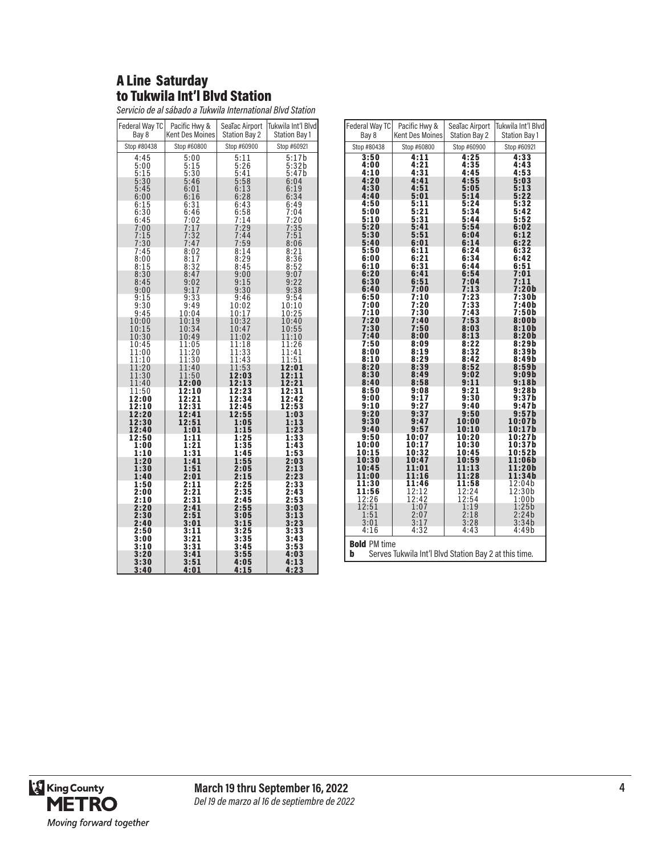#### A Line Saturday to Tukwila Int'l Blvd Station

*Servicio de al sábado a Tukwila International Blvd Station*

| Federal Way TC          | Pacific Hwy &               | SeaTac Airport              | Tukwila Int'l Blvdl                                 |
|-------------------------|-----------------------------|-----------------------------|-----------------------------------------------------|
| Bay 8                   | <b>Kent Des Moines</b>      | <b>Station Bay 2</b>        | <b>Station Bay 1</b>                                |
| Stop #80438             | Stop #60800                 | Stop #60900                 | Stop #60921                                         |
| 4:45<br>5:00<br>5:15    | 5:00<br>5:15<br>5:30        | 5:11<br>5:26<br>5:41        | 5:17b<br>$5:32b$<br>$5:47b$                         |
| 5:30<br>5:45<br>6:00    | 5:46<br>6:01<br>6:16        | 5:58<br>6:13<br>6:28        | $6:04$<br>$6:19$<br>6:34                            |
| 6:15                    | 6:31                        | 6:43                        | 6:49                                                |
| 6:30                    | 6:46                        | 6:58                        | 7:04                                                |
| 6:45                    | 7:02                        | 7:14                        | 7:20                                                |
| 7:00<br>7:15<br>7:30    | $7:17$<br>$7:32$<br>7:47    | 7:29<br>7:44<br>7:59        | $7:35$<br>$7:51$<br>$8:06$                          |
| 7:45<br>8:00<br>8:15    | 8:02<br>$\frac{8:17}{8:32}$ | 8:14<br>$\frac{8:29}{8:45}$ | $\begin{array}{c} 8:21 \\ 8:36 \\ 8:52 \end{array}$ |
| 8:30<br>8:45<br>9:00    | 8:47<br>9:02<br>9:17        | 9:00<br>9:15<br>9:30        | 9:07<br>$9:22$<br>$9:38$                            |
| 9:15                    | 9:33                        | 9:46                        | 9:54                                                |
| 9:30                    | 9:49                        | 10:02                       | 10:10                                               |
| 9:45                    | 10:04                       | 10:17                       | 10:25                                               |
| 10:00<br>10:15<br>10:30 | 10:19<br>10:34<br>10:49     | 10:32<br>10:47<br>11:02     | 10:40<br>$\frac{10:55}{11:10}$                      |
| 10:45                   | 11:05                       | 11:18                       | 11:26                                               |
| 11:00                   | 11:20                       | 11:33                       | 11:41                                               |
| 11:10                   | 11:30                       | 11:43                       | 11:51                                               |
| 11:20                   | 11:40                       | 11:53                       | 12:01                                               |
| 11:30                   | 11:50                       | 12:03                       | 12:11                                               |
| 11:40                   | 12:00                       | 12:13                       | 12:21                                               |
| 11:50                   | 12:10                       | 12:23                       | 12:31                                               |
| 12:00                   | 12:21                       | 12:34                       | 12:42                                               |
| 12:10                   | 12:31                       | 12:45                       | 12:53                                               |
| 12:20                   | 12:41                       | 12:55                       | 1:03                                                |
| 12:30                   | 12:51                       | 1:05                        | 1:13                                                |
| 12:40                   | 1:01                        | 1:15                        | 1:23                                                |
| 12:50                   | 1:11                        | 1:25                        | 1:33                                                |
| 1:00                    | 1:21                        | 1:35                        | 1:43                                                |
| 1:10                    | 1:31                        | 1:45                        | 1:53                                                |
| 1:20                    | 1:41                        | 1:55                        | 2:03                                                |
| 1:30                    | 1:51                        | 2:05                        | 2:13                                                |
| 1:40                    | 2:01                        | 2:15                        | 2:23                                                |
| 1:50<br>2:00<br>2:10    | 2:11<br>2:21<br>2:31        | 2:25<br>$2:35$<br>2:45      | 2:33<br>2:43<br>2:53                                |
| 2:20                    | 2:41                        | 2:55                        | 3:03                                                |
| 2:30                    | 2:51                        | 3:05                        | 3:13                                                |
| 2:40                    | 3:01                        | 3:15                        | 3:23                                                |
| 2:50                    | 3:11                        | 3:25                        | 3:33                                                |
| 3:00                    | 3:21                        | 3:35                        | 3:43                                                |
| 3:10                    | 3:31                        | 3:45                        | 3:53                                                |
| 3:20                    | 3:41                        | 3:55                        | 4:03                                                |
| 3:30                    | 3:51                        | 4:05                        | 4:13                                                |
| 3:40                    | 4:01                        | 4:15                        | 4:23                                                |

| Federal Way TC                   | Pacific Hwy &                                                 | SeaTac Airport                 | Tukwila Int'l Blvd        |
|----------------------------------|---------------------------------------------------------------|--------------------------------|---------------------------|
| Bay 8                            | <b>Kent Des Moines</b>                                        | <b>Station Bay 2</b>           | <b>Station Bay 1</b>      |
| Stop #80438                      | Stop #60800                                                   | Stop #60900                    | Stop #60921               |
| 3:50                             | 4:11                                                          | 4:25                           | 4:33                      |
| 4:00                             | 4:21                                                          | 4:35                           | 4:43                      |
| 4:10                             | 4:31                                                          | 4:45                           | 4:53                      |
| 4:20                             | 4:41                                                          | 4:55                           | 5:03                      |
| 4:30                             | 4:51                                                          | 5:05                           | 5:13                      |
| 4:40                             | 5:01                                                          | 5:14                           | 5:22                      |
| 4:50                             | 5:11                                                          | 5:24                           | 5:32                      |
| 5:00                             | 5:21                                                          | 5:34                           | 5:42                      |
| 5:10                             | 5:31                                                          | 5:44                           | 5:52                      |
| 5:20                             | 5:41                                                          | 5:54                           | 6:02                      |
| 5:30                             | 5:51                                                          | 6:04                           | 6:12                      |
| 5:40                             | 6:01                                                          | 6:14                           | 6:22                      |
| 5:50                             | 6:11                                                          | 6:24                           | 6:32                      |
| 6:00                             | 6:21                                                          | 6:34                           | 6:42                      |
| 6:10                             | 6:31                                                          | 6:44                           | 6:51                      |
| 6:20                             | 6:41                                                          | 6:54                           | 7:01                      |
| 6:30                             | 6:51                                                          | 7:04                           | 7:11                      |
| 6:40                             | 7:00                                                          | 7:13                           | 7:20b                     |
| 6:50                             | 7:10                                                          | 7:23                           | 7:30b                     |
| 7:00                             | 7:20                                                          | 7:33                           | 7:40b                     |
| 7:10                             | 7:30                                                          | 7:43                           | 7:50b                     |
| 7:20                             | 7:40                                                          | 7:53                           | 8:00b                     |
| 7:30                             | 7:50                                                          | 8:03                           | 8:10b                     |
| 7:40                             | 8:00                                                          | 8:13                           | 8:20b                     |
| 7:50                             | 8:09                                                          | 8:22                           | 8:29b                     |
| 8:00                             | 8:19                                                          | 8:32                           | 8:39b                     |
| 8:10                             | 8:29                                                          | 8:42                           | 8:49b                     |
| 8:20                             | 8:39                                                          | 8:52                           | 8:59b                     |
| 8:30                             | 8:49                                                          | 9:02                           | 9:09b                     |
| 8:40                             | 8:58                                                          | 9:11                           | 9:18b                     |
| 8:50                             | 9:08                                                          | 9:21                           | 9:28b                     |
| 9:00                             | 9:17                                                          | 9:30                           | 9:37b                     |
| 9:10                             | 9:27                                                          | 9:40                           | 9:47b                     |
| 9:20                             | 9:37                                                          | 9:50                           | 9:57b                     |
| 9:30                             | 9:47                                                          | 10:00                          | 10:07b                    |
| 9:40                             | 9:57                                                          | 10:10                          | 10:17b                    |
| 9:50                             | 10:07                                                         | 10:20                          | 10:27b                    |
| 10:00                            | 10:17                                                         | 10:30                          | 10:37b                    |
| 10:15                            | 10:32                                                         | 10:45                          | 10:52b                    |
| 10:30                            | 10:47                                                         | 10:59                          | 11:06b                    |
| 10:45                            | 11:01                                                         | 11:13                          | 11:20b                    |
| 11:00                            | 11:16                                                         | 11:28                          | 11:34b                    |
| 11:30<br>11:56<br>12:26          | 11:46<br>12:12<br>12:42                                       | 11:58<br>$\frac{12:24}{12:54}$ | 12:04b<br>12:30b<br>1:00b |
| 12:51                            | 1:07                                                          | 1:19                           | 1:25b                     |
| 1:51                             | 2:07                                                          | 2:18                           | 2:24b                     |
| 3:01                             | 3:17                                                          | 3:28                           | 3:34b                     |
| 4:16<br><b>Bold PM time</b><br>b | 4:32<br>Serves Tukwila Int'l Blvd Station Bay 2 at this time. | 4:43                           | 4:49b                     |

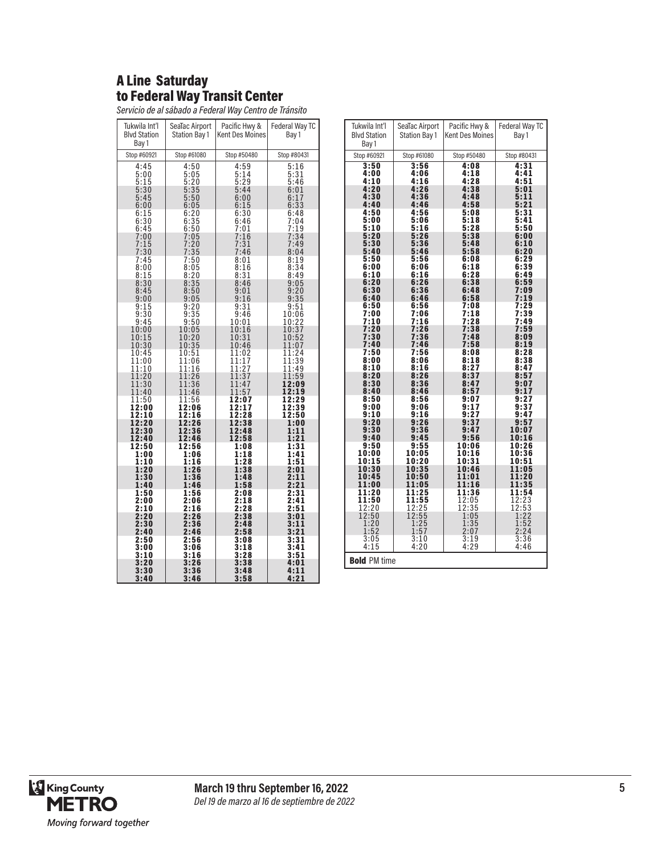# A Line Saturday to Federal Way Transit Center

*Servicio de al sábado a Federal Way Centro de Tránsito*

| Tukwila Int'l<br><b>Blvd Station</b><br>Bay 1 | SeaTac Airport<br>Station Bay 1 | Pacific Hwy &<br><b>Kent Des Moines</b> | Federal Way TC<br>Bay 1            |
|-----------------------------------------------|---------------------------------|-----------------------------------------|------------------------------------|
| Stop #60921                                   | Stop #61080                     | Stop #50480                             | Stop #80431                        |
| 4:45<br>5:00<br>5:15                          | 4:50<br>5:05<br>5:20            | 4:59<br>5:14<br>5:29                    | 5:16<br>$\frac{5:31}{5:46}$        |
| 5:30<br>5:45<br>6:00                          | $5:35$<br>$5:50$<br>6:05        | 5:44<br>6:00<br>6:15                    | 6:01<br>6:17<br>6:33               |
| 6:15<br>6:30<br>6:45                          | 6:20<br>$6:35$<br>$6:50$        | 6:30<br>6:46<br>7:01                    | 6:48<br>7:04<br>7:19               |
| 7:00<br>7:15<br>7:30                          | 7:05<br>7:20<br>7:35<br>7:50    | 7:16<br>7:31<br>7:46                    | $7:34$<br>$7:49$<br>8:04           |
| 7:45<br>8:00<br>8:15                          | 8:05<br>8:20                    | 8:01<br>8:16<br>8:31                    | 8:19<br>$8:34$<br>$8:49$           |
| $8:30$<br>$8:45$<br>9:00                      | $8:35$<br>$8:50$<br>9:05        | 8:46<br>9:01<br>9:16                    | $9:05$<br>$9:20$<br>9:35           |
| 9:15<br>9:30<br>9:45                          | $9:20$<br>$9:35$<br>$9:50$      | 9:31<br>9:46<br>10:01                   | 9:51<br>10:06<br>10:22             |
| 10:00<br>10:15<br>10:30                       | 10:05<br>10:20<br>10:35         | 10:16<br>10:31<br>10:46                 | 10:37<br>10:52<br>11:07            |
| 10:45<br>11:00<br>11:10                       | 10:51<br>11:06<br>11:16         | 11:02<br>11:17<br>$\frac{11:27}{11:37}$ | 11:24<br>11:39<br>11:49            |
| 11:20<br>11:30<br>11:40                       | 11:26<br>11:36<br>11:46         | 11:47<br>11:57                          | 11:59<br>12:09<br>12:19            |
| 11:50<br>12:00<br>12:10                       | 11:56<br>12:06<br>12:16         | 12:07<br>12:17<br>12:28                 | 12:29<br>$\frac{1}{2:39}$<br>12:50 |
| 12:20<br>12:30<br>12:40                       | 12:26<br>12:36<br>12:46         | 12:38<br>12:48<br>12:58                 | 1:00<br>1:11<br>1:21               |
| 12:50<br>1:00<br>1:10                         | 12:56<br>1:06<br>1:16           | 1:08<br>1:18<br>1:28                    | 1:31<br>1:41<br>1:51               |
| 1:20<br>1:30<br>1:40                          | 1:26<br>1:36<br>1:46            | 1:38<br>1:48<br>1:58                    | 2:01<br>2:11<br>2:21               |
| 1:50<br>2:00<br>2:10                          | 1:56<br>2:06<br>2:16            | 2:08<br>2:18<br>2:28                    | 2:31<br>2:41<br>2:51               |
| 2:20<br>2:30<br>2:40                          | 2:26<br>2:36<br>2:46            | 2:38<br>2:48<br>2:58                    | 3:01<br>3:11<br>3:21               |
| 2:50<br>3:00<br>3:10                          | 2:56<br>3:06<br>3:16            | 3:08<br>3:18<br>3:28                    | 3:31<br>3:41<br>3:51               |
| 3:20<br>3:30<br>3:40                          | 3:26<br>3:36<br>3:46            | 3:38<br>3:48<br>3:58                    | 4:01<br>4:11<br>4:21               |

| Tukwila Int'l<br><b>Blvd Station</b><br>Bay 1 | SeaTac Airport<br>Station Bay 1                                | Pacific Hwy &<br><b>Kent Des Moines</b> | Federal Way TC<br>Bay 1 |
|-----------------------------------------------|----------------------------------------------------------------|-----------------------------------------|-------------------------|
| Stop #60921                                   | Stop #61080                                                    | Stop #50480                             | Stop #80431             |
| 3:50                                          | 3:56                                                           | 4:08                                    | 4:31                    |
| 4:00                                          | 4:06                                                           | 4:18                                    | 4:41                    |
| 4:10                                          | 4:16                                                           | 4:28                                    | 4:51                    |
| 4:20                                          | 4:26                                                           | 4:38                                    | 5:01                    |
| 4:30                                          | 4:36                                                           | 4:48                                    | 5:11                    |
| 4:40                                          | 4:46                                                           | 4:58                                    | 5:21                    |
| 4:50                                          | 4:56                                                           | 5:08                                    | 5:31                    |
| 5:00                                          | 5:06                                                           | 5:18                                    | 5:41                    |
| 5:10                                          | 5:16                                                           | 5:28                                    | 5:50                    |
| 5:20                                          | 5:26                                                           | 5:38                                    | 6:00                    |
| 5:30                                          | 5:36                                                           | 5:48                                    | 6:10                    |
| 5:40                                          | 5:46                                                           | 5:58                                    | 6:20                    |
| 5:50                                          | 5:56                                                           | 6:08                                    | 6:29                    |
| 6:00                                          | 6:06                                                           | 6:18                                    | 6:39                    |
| 6:10                                          | 6:16                                                           | 6:28                                    | 6:49                    |
| 6:20<br>6:30<br>6:40                          | $6:26$<br>$6:36$<br>6:46                                       | 6:38<br>6:48<br>6:58                    | 6:59<br>7:09<br>7:19    |
| 6:50                                          | 6:56                                                           | 7:08                                    | 7:29                    |
| 7:00                                          | 7:06                                                           | 7:18                                    | 7:39                    |
| 7:10                                          | 7:16                                                           | 7:28                                    | 7:49                    |
| 7:20                                          | 7:26                                                           | 7:38                                    | 7:59                    |
| 7:30                                          | 7:36                                                           | 7:48                                    | 8:09                    |
| 7:40                                          | 7:46                                                           | 7:58                                    | 8:19                    |
| 7:50                                          | 7:56                                                           | 8:08                                    | 8:28                    |
| 8:00                                          | 8:06                                                           | 8:18                                    | 8:38                    |
| 8:10                                          | 8:16                                                           | 8:27                                    | 8:47                    |
| 8:20                                          | 8:26                                                           | 8:37                                    | 8:57                    |
| 8:30                                          | 8:36                                                           | 8:47                                    | 9:07                    |
| 8:40                                          | 8:46                                                           | 8:57                                    | 9:17                    |
| 8:50                                          | 8:56                                                           | 9:07                                    | 9:27                    |
| 9:00                                          | 9:06                                                           | 9:17                                    | 9:37                    |
| 9:10                                          | 9:16                                                           | 9:27                                    | 9:47                    |
| 9:20                                          | 9:26                                                           | 9:37                                    | 9:57                    |
| 9:30                                          | 9:36                                                           | 9:47                                    | 10:07                   |
| 9:40                                          | 9:45                                                           | 9:56                                    | 10:16                   |
| 9:50                                          | 9:55                                                           | 10:06                                   | 10:26                   |
| 10:00<br>10:15                                | 10:05<br>10:20                                                 | 10:16<br>10:31<br>10:46                 | 10:36<br>10:51<br>11:05 |
| 10:30<br>10:45<br>11:00<br>11:20              | 10:35<br>10:50<br>11:05                                        | 11:01<br>11:16                          | 11:20<br>11:35          |
| 11:50                                         | 11:25                                                          | 11:36                                   | 11:54                   |
| $\frac{12:20}{12:50}$                         | $\overline{11:55}$<br>$\overline{12:25}$<br>$\overline{12:55}$ | $\frac{12:05}{12:35}$<br>$1:05$         | 12:23<br>12:53<br>1:22  |
| 1:20                                          | 1:25                                                           | 1:35                                    | $\frac{1:52}{2:24}$     |
| 1:52                                          | 1:57                                                           | 2:07                                    |                         |
| 3:05                                          | 3:10                                                           | 3:19                                    | 3:36                    |
| 4:15                                          | 4:20                                                           | 4:29                                    | 4:46                    |
| <b>Bold PM time</b>                           |                                                                |                                         |                         |

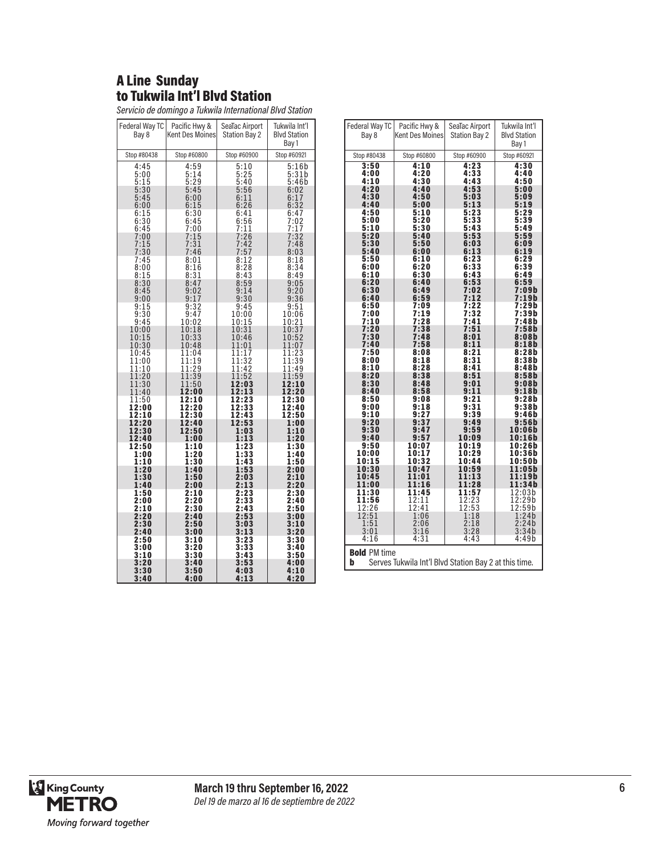# A Line Sunday to Tukwila Int'l Blvd Station

*Servicio de domingo a Tukwila International Blvd Station*

| Federal Way TC<br>Bay 8       | Pacific Hwy &<br>Kent Des Moines | SeaTac Airport<br><b>Station Bay 2</b> | Tukwila Int'l<br><b>Blvd Station</b><br>Bay 1 |
|-------------------------------|----------------------------------|----------------------------------------|-----------------------------------------------|
| Stop #80438                   | Stop #60800                      | Stop #60900                            | Stop #60921                                   |
| 4:45                          | 4:59                             | 5:10                                   | 5:16b                                         |
| 5:00<br>5:15                  | $\frac{5:14}{5:29}$              | $\frac{5:25}{5:40}$                    | 5:31b<br>5:46b                                |
| 5:30<br>5:45                  | 5:45<br>6:00                     | 5:56<br>6:11                           | 6:02<br>6:17                                  |
| 6:00                          | 6:15                             | 6:26                                   | 6:32                                          |
| 6:15<br>6:30                  | 6:30<br>6:45                     | 6:41<br>6:56                           | 6:47<br>7:02                                  |
| 6:45                          | 7:00                             | 7:11                                   | 7:17                                          |
| 7:00<br>7:15<br>7:30          | $7:15$<br>$7:31$                 | $7:26$<br>$7:42$                       | 7:32<br>7:48                                  |
|                               | 7:46<br>8:01                     | 7:57                                   | 8:03<br>8:18                                  |
| 7:45<br>8:00                  | $\frac{8:16}{8:31}$              | 8:12<br>$\frac{8:28}{8:43}$            | $\frac{8:34}{8:49}$                           |
| 8:15<br>8:30                  | 8:47                             | 8:59                                   | 9:05                                          |
| 8:45                          | $9:02$<br>$9:17$                 | $\frac{9:14}{9:30}$                    | 9:20                                          |
| 9:00<br>9:15                  | 9:32                             | 9:45                                   | 9:36<br>9:51                                  |
| 9:30<br>9:45                  | 9:47                             | 10:00<br>10:15                         | 10:06<br>10:21                                |
| 10:00                         | 10:02<br>10:18                   | 10:31                                  | 10:37<br>10:52                                |
| 10:15<br>10:30                | 10:33<br>10:48                   | 10:46<br>11:01                         | 11:07                                         |
| 10:45                         | 11:04                            | 11:17                                  | 11:23                                         |
| 11:00<br>$\bar{1}\bar{1}$ :10 | 11:19<br>11:29                   | 11:32<br>11:42                         | $\frac{11:39}{11:49}$                         |
| 11:20<br>11:30                | 11:39<br>11:50                   | 11:52<br>12:03                         | 11:59<br>12:10                                |
| 11:40                         | 12:00                            | 12:13                                  | 12:20                                         |
| 11:50<br>12:00                | 12:10<br>12:20                   | 12:23<br>12:33                         | 12:30<br>12:40                                |
| 12:10<br>12:20                | 12:30                            | 12:43<br>12:53                         | 12:50<br>1:00                                 |
| 12:30                         | 12:40<br>12:50                   | 1:03                                   | 1:10                                          |
| 12:40<br>12:50                | 1:00<br>1:10                     | 1:13<br>1:23                           | 1:20<br>1:30                                  |
| 1:00                          | 1:20                             | 1:33                                   | 1:40                                          |
| 1:10<br>1:20                  | 1:30<br>1:40                     | 1:43<br>1:53                           | 1:50<br>2:00                                  |
| 1:30<br>1:40                  | 1:50<br>2:00                     | 2:03<br>2:13                           | 2:10<br>2:20                                  |
| 1:50                          | 2:10                             | 2:23                                   | 2:30                                          |
| 2:00<br>2:10                  | 2:20<br>2:30                     | 2:33<br>2:43                           | 2:40<br>2:50                                  |
| 2:20<br>2:30                  | 2:40<br>2:50                     | 2:53<br>3:03                           | 3:00<br>3:10                                  |
| 2:40                          | 3:00                             | 3:13                                   | 3:20                                          |
| 2:50<br>3:00                  | 3:10<br>3:20                     | 3:23<br>3:33                           | 3:30<br>3:40                                  |
| 3:10                          | 3:30                             | 3:43                                   | 3:50                                          |
| 3:20<br>3:30                  | 3:40<br>3:50                     | 3:53<br>4:03                           | 4:00<br>4:10                                  |
| 3:40                          | 4:00                             | 4:13                                   | 4:20                                          |

| Federal Way TC       | Pacific Hwy &                                         | SeaTac Airport             | Tukwila Int'l       |
|----------------------|-------------------------------------------------------|----------------------------|---------------------|
| Bay 8                | <b>Kent Des Moines</b>                                | <b>Station Bay 2</b>       | <b>Blvd Station</b> |
|                      |                                                       |                            | Bay 1               |
| Stop #80438          | Stop #60800                                           | Stop #60900                | Stop #60921         |
| 3:50<br>4:00         | 4:10<br>4:20                                          | 4:23<br>4:33               | 4:30<br>4:40        |
| 4:10                 | 4:30                                                  | 4:43                       | 4:50                |
| 4:20<br>4:30         | 4:40<br>4:50                                          | 4:53<br>5:03               | 5:00<br>5:09        |
| 4:40                 | 5:00                                                  | 5:13                       | 5:19                |
| 4:50<br>5:00         | 5:10<br>5:20                                          | 5:23<br>5:33               | 5:29<br>5:39        |
| 5:10                 | 5:30                                                  | 5:43                       | 5:49                |
| 5:20<br>5:30         | 5:40<br>5:50                                          | 5:53<br>6:03               | 5:59<br>6:09        |
| 5:40                 | 6:00                                                  | 6:13                       | 6:19                |
| 5:50<br>6:00         | 6:10<br>6:20                                          | 6:23<br>6:33               | 6:29<br>6:39        |
| 6:10                 | 6:30                                                  | 6:43                       | 6:49                |
| 6:20<br>6:30         | 6:40<br>6:49                                          | 6:53<br>7:02               | 6:59<br>7:09b       |
| 6:40                 | 6:59                                                  | 7:12                       | 7:19b               |
| 6:50<br>7:00         | 7:09<br>7:19                                          | 7:22<br>7:32               | 7:29b<br>7:39b      |
| 7:10<br>7:20         | 7:28<br>7:38                                          | 7:41                       | 7:48b               |
| 7:30                 | 7:48                                                  | 7:51<br>8:01               | 7:58b<br>8:08b      |
| 7:40<br>7:50         | 7:58<br>8:08                                          | 8:11<br>8:21               | 8:18b<br>8:28b      |
| 8:00                 | 8:18                                                  | 8:31                       | 8:38b               |
| 8:10<br>8:20         | 8:28<br>8:38                                          | 8:41<br>8:51               | 8:48b<br>8:58b      |
| 8:30                 | 8:48                                                  | 9:01                       | 9:08b               |
| 8:40<br>8:50         | 8:58<br>9:08                                          | 9:11<br>9:21               | 9:18b<br>9:28b      |
| 9:00                 | 9:18                                                  | 9:31                       | 9:38b               |
| 9:10<br>9:20         | 9:27<br>9:37                                          | 9:39<br>9:49               | 9:46b<br>9:56b      |
| 9:30                 | 9:47                                                  | 9:59                       | 10:06b              |
| 9:40<br>9:50         | 9:57<br>10:07                                         | 10:09<br>10:19             | 10:16b<br>10:26b    |
| 10:00                | 10:17                                                 | 10:29                      | 10:36b              |
| 10:15<br>10:30       | 10:32<br>10:47                                        | 10:44<br>10:59             | 10:50b<br>11:05b    |
| 10:45                | 11:01                                                 | 11:13                      | 11:19b              |
| 11:00<br>11:30       | 11:16<br>11:45                                        | 11:28<br>11:57             | 11:34b<br>12:03b    |
| 11:56<br>12:26       | 12:11<br>12:41                                        | $\frac{1}{2}$ :23<br>12:53 | 12:29b<br>12:59b    |
| $\frac{12:51}{1:51}$ | 1:06                                                  | 1:18                       | 1:24b               |
| 3:01                 | 2:06<br>3:16                                          | 2:18<br>3:28               | 2:24b<br>3:34b      |
| 4:16                 | 4:31                                                  | 4:43                       | 4:49b               |
| <b>Bold PM time</b>  |                                                       |                            |                     |
| b                    | Serves Tukwila Int'l Blvd Station Bay 2 at this time. |                            |                     |
|                      |                                                       |                            |                     |